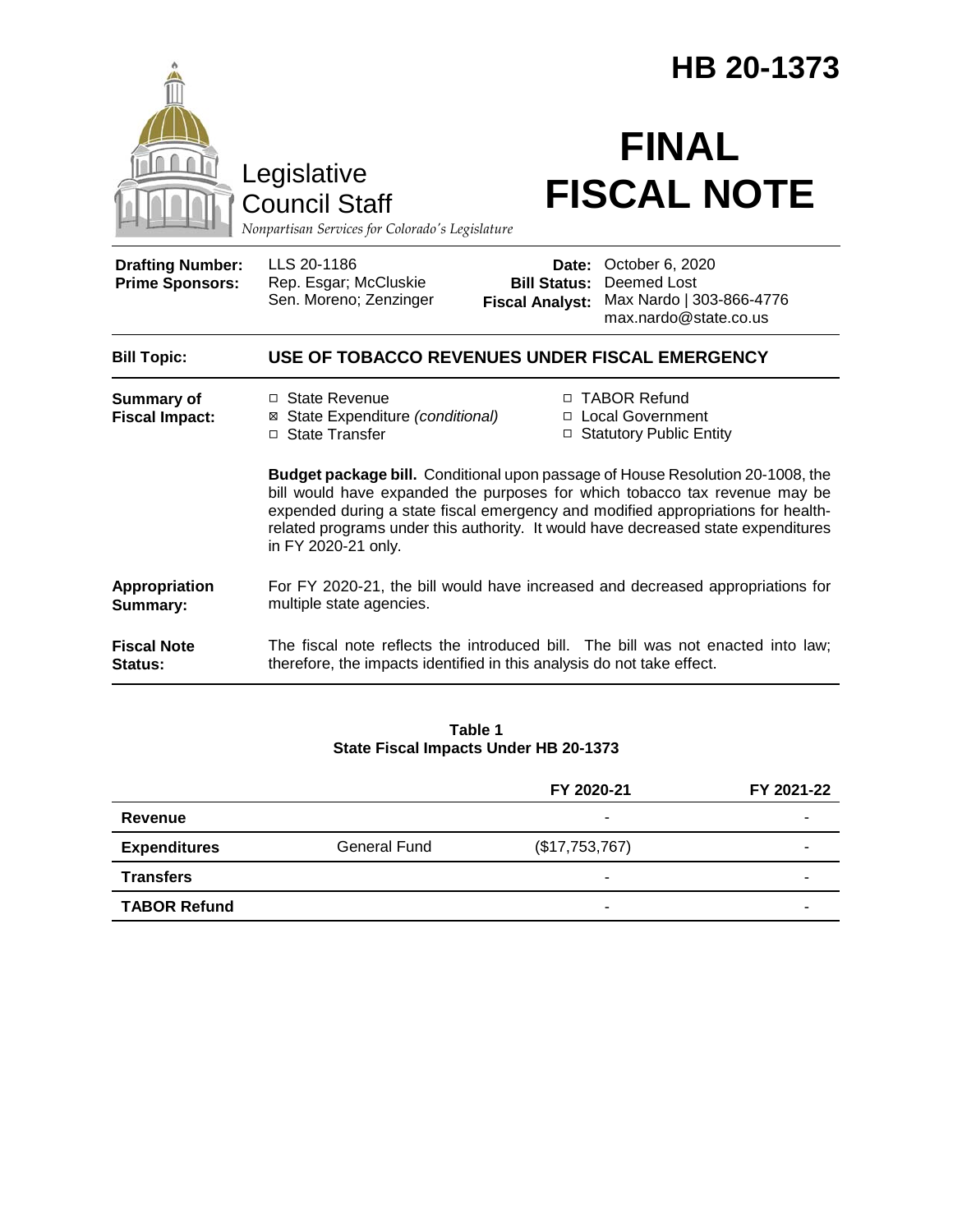|                                                   | HB 20-1373                                                                                                                                                                                                                                                                                                                                                   |                                                        |                                                                                     |  |
|---------------------------------------------------|--------------------------------------------------------------------------------------------------------------------------------------------------------------------------------------------------------------------------------------------------------------------------------------------------------------------------------------------------------------|--------------------------------------------------------|-------------------------------------------------------------------------------------|--|
|                                                   | Legislative<br><b>Council Staff</b><br>Nonpartisan Services for Colorado's Legislature                                                                                                                                                                                                                                                                       |                                                        | <b>FINAL</b><br><b>FISCAL NOTE</b>                                                  |  |
| <b>Drafting Number:</b><br><b>Prime Sponsors:</b> | LLS 20-1186<br>Rep. Esgar; McCluskie<br>Sen. Moreno; Zenzinger                                                                                                                                                                                                                                                                                               | Date:<br><b>Bill Status:</b><br><b>Fiscal Analyst:</b> | October 6, 2020<br>Deemed Lost<br>Max Nardo   303-866-4776<br>max.nardo@state.co.us |  |
| <b>Bill Topic:</b>                                | USE OF TOBACCO REVENUES UNDER FISCAL EMERGENCY                                                                                                                                                                                                                                                                                                               |                                                        |                                                                                     |  |
| <b>Summary of</b><br><b>Fiscal Impact:</b>        | □ State Revenue<br>⊠ State Expenditure (conditional)<br>□ State Transfer                                                                                                                                                                                                                                                                                     |                                                        | □ TABOR Refund<br>□ Local Government<br>□ Statutory Public Entity                   |  |
|                                                   | Budget package bill. Conditional upon passage of House Resolution 20-1008, the<br>bill would have expanded the purposes for which tobacco tax revenue may be<br>expended during a state fiscal emergency and modified appropriations for health-<br>related programs under this authority. It would have decreased state expenditures<br>in FY 2020-21 only. |                                                        |                                                                                     |  |
| Appropriation<br>Summary:                         | multiple state agencies.                                                                                                                                                                                                                                                                                                                                     |                                                        | For FY 2020-21, the bill would have increased and decreased appropriations for      |  |
| <b>Fiscal Note</b><br>Status:                     | therefore, the impacts identified in this analysis do not take effect.                                                                                                                                                                                                                                                                                       |                                                        | The fiscal note reflects the introduced bill. The bill was not enacted into law;    |  |

### **Table 1 State Fiscal Impacts Under HB 20-1373**

|                     |                     | FY 2020-21     | FY 2021-22 |
|---------------------|---------------------|----------------|------------|
| Revenue             |                     |                |            |
| <b>Expenditures</b> | <b>General Fund</b> | (\$17,753,767) | -          |
| <b>Transfers</b>    |                     |                |            |
| <b>TABOR Refund</b> |                     |                | -          |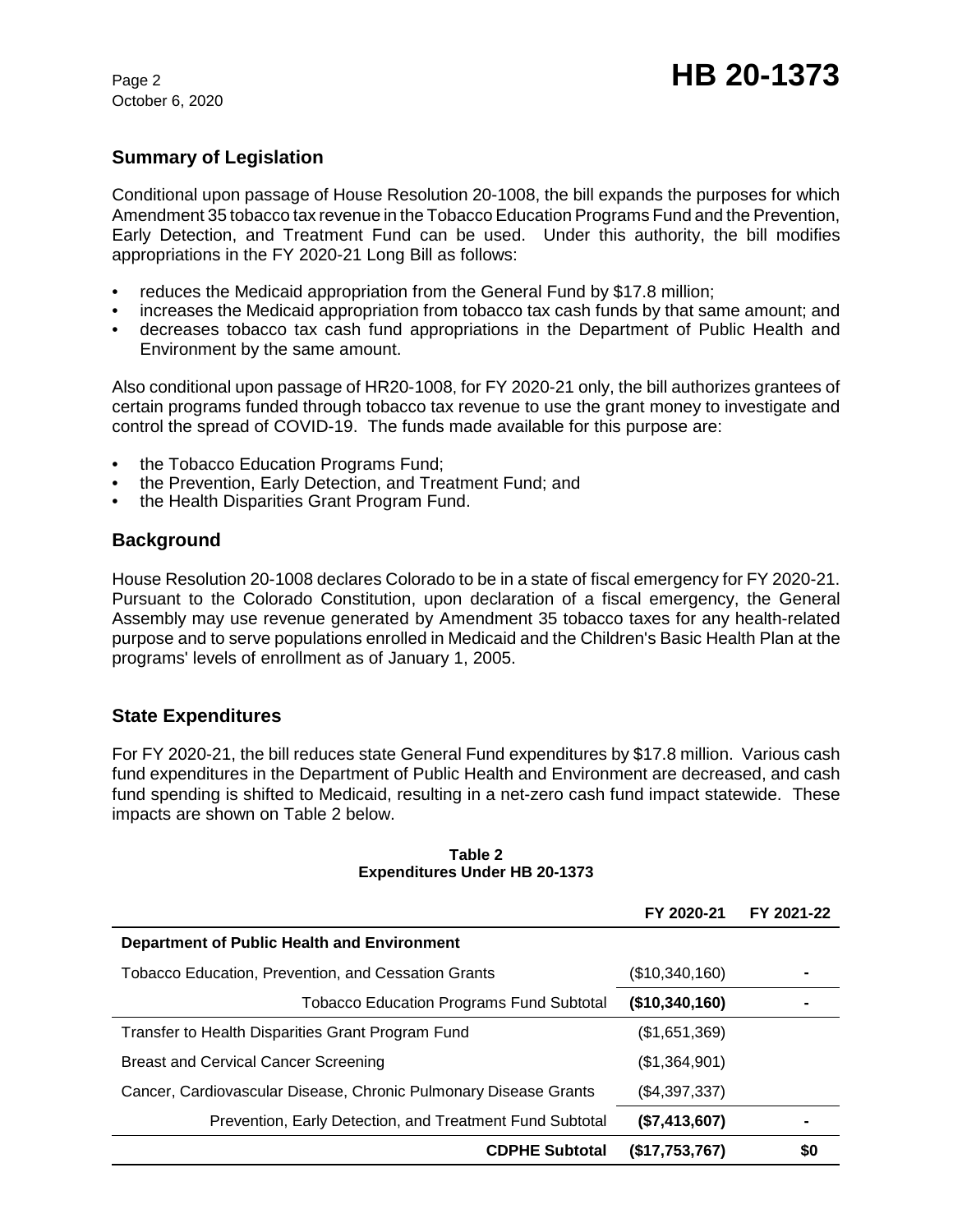October 6, 2020

# **Summary of Legislation**

Conditional upon passage of House Resolution 20-1008, the bill expands the purposes for which Amendment 35 tobacco tax revenue in the Tobacco Education Programs Fund and the Prevention, Early Detection, and Treatment Fund can be used. Under this authority, the bill modifies appropriations in the FY 2020-21 Long Bill as follows:

- reduces the Medicaid appropriation from the General Fund by \$17.8 million;
- increases the Medicaid appropriation from tobacco tax cash funds by that same amount; and
- decreases tobacco tax cash fund appropriations in the Department of Public Health and Environment by the same amount.

Also conditional upon passage of HR20-1008, for FY 2020-21 only, the bill authorizes grantees of certain programs funded through tobacco tax revenue to use the grant money to investigate and control the spread of COVID-19. The funds made available for this purpose are:

- the Tobacco Education Programs Fund;
- the Prevention, Early Detection, and Treatment Fund; and
- the Health Disparities Grant Program Fund.

## **Background**

House Resolution 20-1008 declares Colorado to be in a state of fiscal emergency for FY 2020-21. Pursuant to the Colorado Constitution, upon declaration of a fiscal emergency, the General Assembly may use revenue generated by Amendment 35 tobacco taxes for any health-related purpose and to serve populations enrolled in Medicaid and the Children's Basic Health Plan at the programs' levels of enrollment as of January 1, 2005.

# **State Expenditures**

For FY 2020-21, the bill reduces state General Fund expenditures by \$17.8 million. Various cash fund expenditures in the Department of Public Health and Environment are decreased, and cash fund spending is shifted to Medicaid, resulting in a net-zero cash fund impact statewide. These impacts are shown on Table 2 below.

|                                                                  | FY 2020-21     | FY 2021-22 |
|------------------------------------------------------------------|----------------|------------|
| Department of Public Health and Environment                      |                |            |
| Tobacco Education, Prevention, and Cessation Grants              | (\$10,340,160) |            |
| <b>Tobacco Education Programs Fund Subtotal</b>                  | (\$10,340,160) |            |
| Transfer to Health Disparities Grant Program Fund                | (\$1,651,369)  |            |
| <b>Breast and Cervical Cancer Screening</b>                      | (\$1,364,901)  |            |
| Cancer, Cardiovascular Disease, Chronic Pulmonary Disease Grants | (\$4,397,337)  |            |
| Prevention, Early Detection, and Treatment Fund Subtotal         | (\$7,413,607)  |            |
| <b>CDPHE Subtotal</b>                                            | (\$17,753,767) | \$0        |

#### **Table 2 Expenditures Under HB 20-1373**